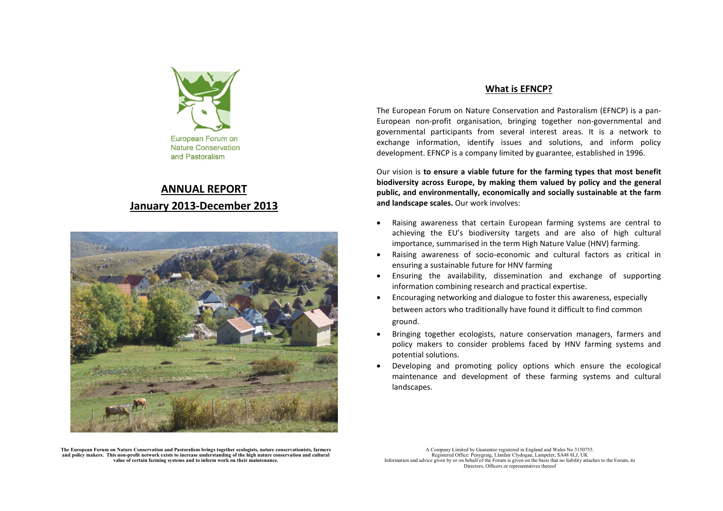

# **ANNUAL REPORTJanuary 2013-December 2013**



### **What is EFNCP?**

The European Forum on Nature Conservation and Pastoralism (EFNCP) is a pan-European non-profit organisation, bringing together non-governmental and governmental participants from several interest areas. It is a network to exchange information, identify issues and solutions, and inform policy development. EFNCP is a company limited by guarantee, established in 1996.

Our vision is **to ensure a viable future for the farming types that most benefit biodiversity across Europe, by making them valued by policy and the general public, and environmentally, economically and socially sustainable at the farm and landscape scales.** Our work involves:

- • Raising awareness that certain European farming systems are central to achieving the EU's biodiversity targets and are also of high cultural importance, summarised in the term High Nature Value (HNV) farming.
- • Raising awareness of socio-economic and cultural factors as critical in ensuring a sustainable future for HNV farming
- Ensuring the availability, dissemination and exchange of supporting information combining research and practical expertise.
- $\bullet$  Encouraging networking and dialogue to foster this awareness, especially between actors who traditionally have found it difficult to find common ground.
- • Bringing together ecologists, nature conservation managers, farmers and policy makers to consider problems faced by HNV farming systems and potential solutions.
- • Developing and promoting policy options which ensure the ecological maintenance and development of these farming systems and cultural landscapes.

**The European Forum on Nature Conservation and Pastoralism brings together ecologists, nature conservationists, farmers and policy makers. This non-profit network exists to increase understanding of the high nature conservation and cultural value of certain farming systems and to inform work on their maintenance.** 

A Company Limited by Guarantee registered in England and Wales No 3150755. Registered Office: Penygraig, Llanfair Clydogau, Lampeter, SA48 8LJ, UK Information and advice given by or on behalf of the Forum is given on the basis that no liability attaches to the Forum, its Directors, Officers or representatives thereof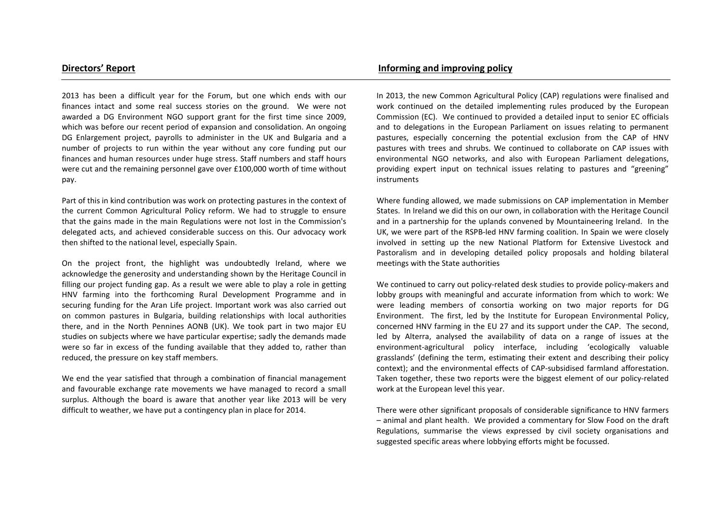2013 has been a difficult year for the Forum, but one which ends with our finances intact and some real success stories on the ground. We were not awarded a DG Environment NGO support grant for the first time since 2009, which was before our recent period of expansion and consolidation. An ongoing DG Enlargement project, payrolls to administer in the UK and Bulgaria and a number of projects to run within the year without any core funding put our finances and human resources under huge stress. Staff numbers and staff hours were cut and the remaining personnel gave over £100,000 worth of time without pay.

Part of this in kind contribution was work on protecting pastures in the context of the current Common Agricultural Policy reform. We had to struggle to ensure that the gains made in the main Regulations were not lost in the Commission's delegated acts, and achieved considerable success on this. Our advocacy work then shifted to the national level, especially Spain.

On the project front, the highlight was undoubtedly Ireland, where we acknowledge the generosity and understanding shown by the Heritage Council in filling our project funding gap. As a result we were able to play a role in getting HNV farming into the forthcoming Rural Development Programme and in securing funding for the Aran Life project. Important work was also carried out on common pastures in Bulgaria, building relationships with local authorities there, and in the North Pennines AONB (UK). We took part in two major EU studies on subjects where we have particular expertise; sadly the demands made were so far in excess of the funding available that they added to, rather than reduced, the pressure on key staff members.

We end the year satisfied that through a combination of financial management and favourable exchange rate movements we have managed to record a small surplus. Although the board is aware that another year like 2013 will be very difficult to weather, we have put a contingency plan in place for 2014.

# **Directors' Report Community Community Community Community Community Community Community Community Community Community Community Community Community Community Community Community Community Community Community Community Com**

In 2013, the new Common Agricultural Policy (CAP) regulations were finalised and work continued on the detailed implementing rules produced by the European Commission (EC). We continued to provided a detailed input to senior EC officials and to delegations in the European Parliament on issues relating to permanent pastures, especially concerning the potential exclusion from the CAP of HNV pastures with trees and shrubs. We continued to collaborate on CAP issues with environmental NGO networks, and also with European Parliament delegations, providing expert input on technical issues relating to pastures and "greening" instruments

Where funding allowed, we made submissions on CAP implementation in Member States. In Ireland we did this on our own, in collaboration with the Heritage Council and in a partnership for the uplands convened by Mountaineering Ireland. In the UK, we were part of the RSPB-led HNV farming coalition. In Spain we were closely involved in setting up the new National Platform for Extensive Livestock and Pastoralism and in developing detailed policy proposals and holding bilateral meetings with the State authorities

We continued to carry out policy-related desk studies to provide policy-makers and lobby groups with meaningful and accurate information from which to work: We were leading members of consortia working on two major reports for DG Environment. The first, led by the Institute for European Environmental Policy, concerned HNV farming in the EU 27 and its support under the CAP. The second, led by Alterra, analysed the availability of data on a range of issues at the environment-agricultural policy interface, including 'ecologically valuable grasslands' (defining the term, estimating their extent and describing their policy context); and the environmental effects of CAP-subsidised farmland afforestation. Taken together, these two reports were the biggest element of our policy-related work at the European level this year.

There were other significant proposals of considerable significance to HNV farmers – animal and plant health. We provided a commentary for Slow Food on the draft Regulations, summarise the views expressed by civil society organisations and suggested specific areas where lobbying efforts might be focussed.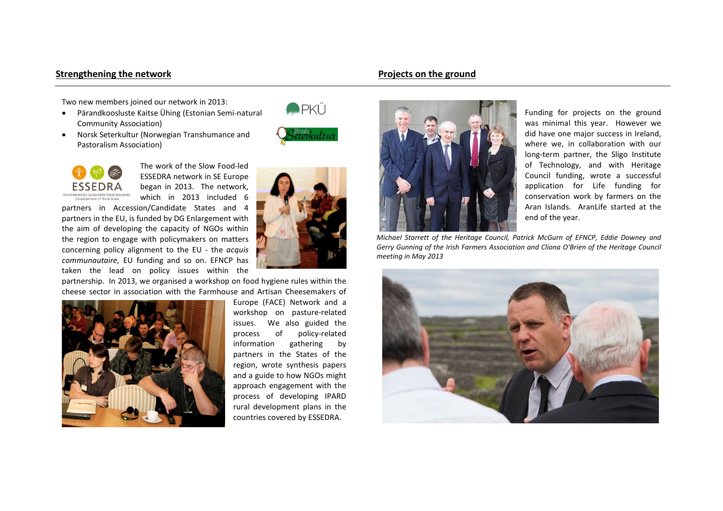## **Strengthening the network Community Community Community Community Projects on the ground**

Two new members joined our network in 2013:

- • Pärandkoosluste Kaitse Ühing (Estonian Semi-natural Community Association)
- Norsk Seterkultur (Norwegian Transhumance and Pastoralism Association)



**MARA PKÜ** 



The work of the Slow Food-led ESSEDRA network in SE Europe began in 2013. The network, which in 2013 included 6

partners in Accession/Candidate States and 4 partners in the EU, is funded by DG Enlargement with the aim of developing the capacity of NGOs within the region to engage with policymakers on matters concerning policy alignment to the EU - the *acquis communautaire,* EU funding and so on. EFNCP has taken the lead on policy issues within the

partnership. In 2013, we organised a workshop on food hygiene rules within the cheese sector in association with the Farmhouse and Artisan Cheesemakers of



Europe (FACE) Network and a workshop on pasture-related issues. We also guided the process of policy-related information gathering by partners in the States of the region, wrote synthesis papers and a guide to how NGOs might approach engagement with the process of developing IPARD rural development plans in the countries covered by ESSEDRA.



Funding for projects on the ground was minimal this year. However we did have one major success in Ireland, where we, in collaboration with our long-term partner, the Sligo Institute of Technology, and with Heritage Council funding, wrote a successful application for Life funding for conservation work by farmers on the Aran Islands. AranLife started at the end of the year.

*Michael Starrett of the Heritage Council, Patrick McGurn of EFNCP, Eddie Downey and Gerry Gunning of the Irish Farmers Association and Cliona O'Brien of the Heritage Council meeting in May 2013*